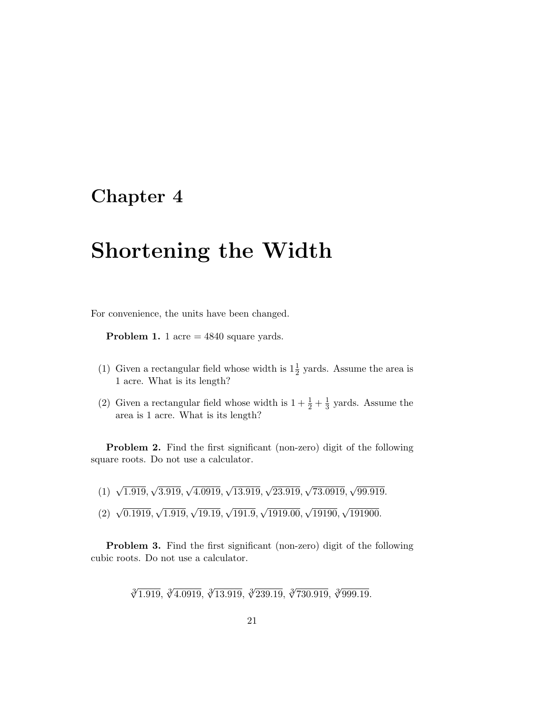# **Chapter 4**

# **Shortening the Width**

For convenience, the units have been changed.

**Problem 1.** 1 acre = 4840 square yards.

- (1) Given a rectangular field whose width is  $1\frac{1}{2}$  yards. Assume the area is 1 acre. What is its length?
- (2) Given a rectangular field whose width is  $1 + \frac{1}{2} + \frac{1}{3}$  yards. Assume the area is 1 acre. What is its length?

**Problem 2.** Find the first significant (non-zero) digit of the following square roots. Do not use a calculator.

 $(1)$   $\sqrt{1.919}, \sqrt{3.919}, \sqrt{4.0919}, \sqrt{13.919}, \sqrt{23.919}, \sqrt{73.0919}, \sqrt{99.919}.$  $(2) \sqrt{0.1919}, \sqrt{1.919}, \sqrt{19.19}, \sqrt{191.9}, \sqrt{1919.00}, \sqrt{19190}, \sqrt{191900}.$ 

**Problem 3.** Find the first significant (non-zero) digit of the following cubic roots. Do not use a calculator.

∛1.919, ∛4.0919, ∛13.919, ∛239.19, ∛730.919, ∛999.19.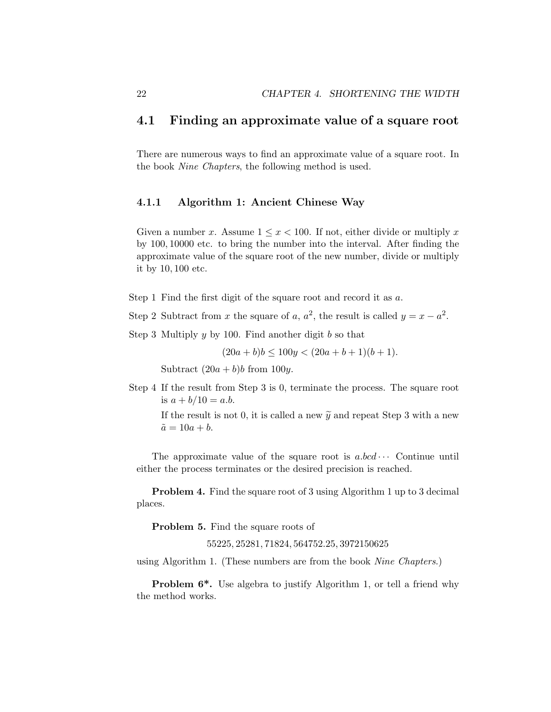#### **4.1 Finding an approximate value of a square root**

There are numerous ways to find an approximate value of a square root. In the book Nine Chapters, the following method is used.

#### **4.1.1 Algorithm 1: Ancient Chinese Way**

Given a number x. Assume  $1 \leq x < 100$ . If not, either divide or multiply x by 100, 10000 etc. to bring the number into the interval. After finding the approximate value of the square root of the new number, divide or multiply it by 10, 100 etc.

Step 1 Find the first digit of the square root and record it as a.

Step 2 Subtract from x the square of a,  $a^2$ , the result is called  $y = x - a^2$ .

Step 3 Multiply  $y$  by 100. Find another digit  $b$  so that

 $(20a + b)b \le 100y < (20a + b + 1)(b + 1).$ 

Subtract  $(20a + b)b$  from 100y.

Step 4 If the result from Step 3 is 0, terminate the process. The square root is  $a + b/10 = a.b$ . Subtract  $(20a + b)b$  from 100y.<br>If the result from Step 3 is 0, terminate<br>is  $a + b/10 = a.b$ .<br>If the result is not 0, it is called a new  $\tilde{y}$ 

If the result is not 0, it is called a new  $\tilde{y}$  and repeat Step 3 with a new  $\tilde{a} = 10a + b.$ 

The approximate value of the square root is  $a,bcd\cdots$  Continue until either the process terminates or the desired precision is reached.

**Problem 4.** Find the square root of 3 using Algorithm 1 up to 3 decimal places.

**Problem 5.** Find the square roots of

55225, 25281, 71824, 564752.25, 3972150625

using Algorithm 1. (These numbers are from the book Nine Chapters.)

**Problem 6<sup>\*</sup>.** Use algebra to justify Algorithm 1, or tell a friend why the method works.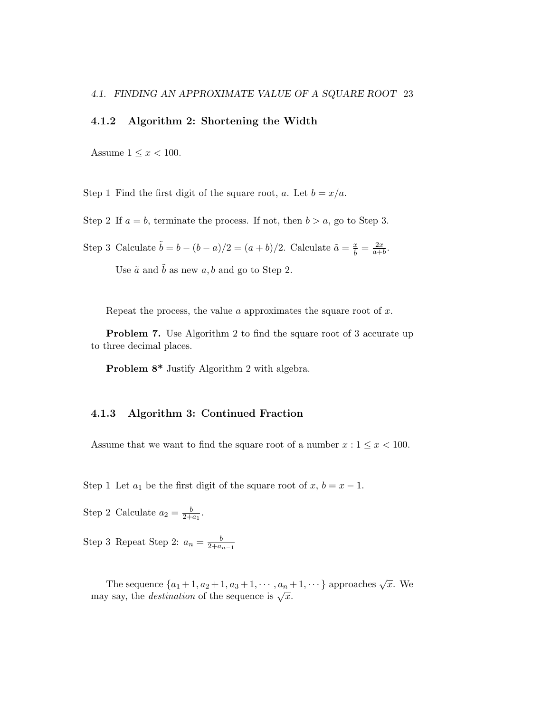#### **4.1.2 Algorithm 2: Shortening the Width**

Assume  $1 \leq x < 100$ .

Step 1 Find the first digit of the square root, a. Let  $b = x/a$ .

Step 2 If  $a = b$ , terminate the process. If not, then  $b > a$ , go to Step 3.

Step 3 Calculate  $\tilde{b} = b - (b - a)/2 = (a + b)/2$ . Calculate  $\tilde{a} = \frac{x}{\tilde{b}} = \frac{2x}{a+b}$ .

Use  $\tilde{a}$  and  $\tilde{b}$  as new a, b and go to Step 2.

Repeat the process, the value  $\alpha$  approximates the square root of  $x$ .

**Problem 7.** Use Algorithm 2 to find the square root of 3 accurate up to three decimal places.

**Problem 8\*** Justify Algorithm 2 with algebra.

#### **4.1.3 Algorithm 3: Continued Fraction**

Assume that we want to find the square root of a number  $x: 1 \leq x < 100$ .

Step 1 Let  $a_1$  be the first digit of the square root of  $x, b = x - 1$ .

Step 2 Calculate  $a_2 = \frac{b}{2+a_1}$ .

Step 3 Repeat Step 2:  $a_n = \frac{b}{2+a_{n-1}}$ 

The sequence  $\{a_1+1, a_2+1, a_3+1, \cdots, a_n+1, \cdots\}$  approaches  $\sqrt{x}$ . We may say, the *destination* of the sequence is  $\sqrt{x}$ .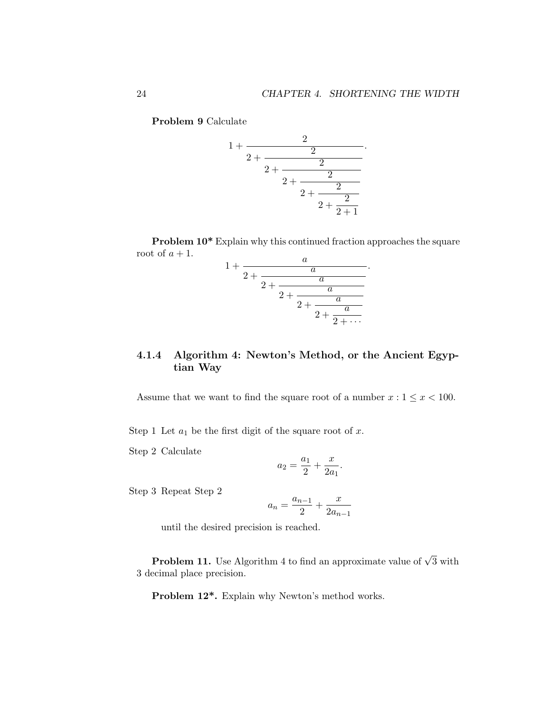**Problem 9** Calculate



**Problem 10\*** Explain why this continued fraction approaches the square root of  $a + 1$ . a

$$
+\cfrac{a}{2+\cfrac{a}{2+\cfrac{a}{2+\cfrac{a}{2+\cfrac{a}{2+\cfrac{a}{2+\cdots}}}}}}.
$$

#### **4.1.4 Algorithm 4: Newton's Method, or the Ancient Egyptian Way**

Assume that we want to find the square root of a number  $x: 1 \leq x < 100$ .

Step 1 Let  $a_1$  be the first digit of the square root of x.

 $\mathbf 1$ 

Step 2 Calculate

$$
a_2 = \frac{a_1}{2} + \frac{x}{2a_1}.
$$

Step 3 Repeat Step 2

$$
a_n = \frac{a_{n-1}}{2} + \frac{x}{2a_{n-1}}
$$

until the desired precision is reached.

**Problem 11.** Use Algorithm 4 to find an approximate value of  $\sqrt{3}$  with 3 decimal place precision.

**Problem 12\*.** Explain why Newton's method works.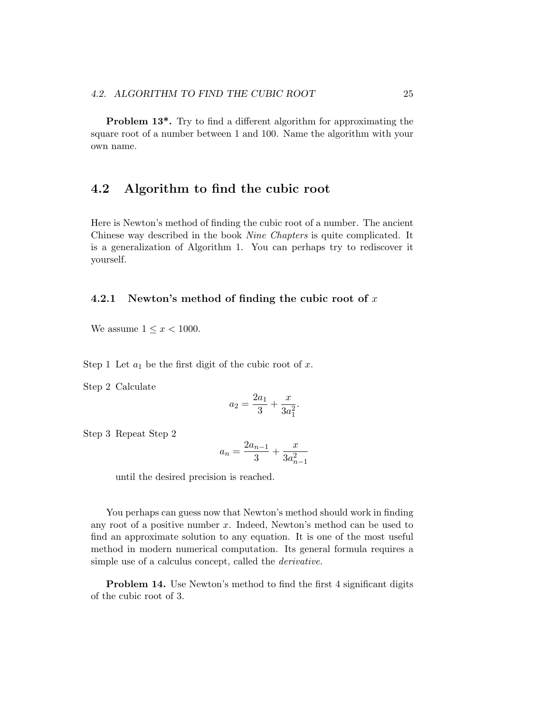**Problem 13<sup>\*</sup>.** Try to find a different algorithm for approximating the square root of a number between 1 and 100. Name the algorithm with your own name.

### **4.2 Algorithm to find the cubic root**

Here is Newton's method of finding the cubic root of a number. The ancient Chinese way described in the book Nine Chapters is quite complicated. It is a generalization of Algorithm 1. You can perhaps try to rediscover it yourself.

#### **4.2.1 Newton's method of finding the cubic root of** x

We assume  $1 \leq x < 1000$ .

Step 1 Let  $a_1$  be the first digit of the cubic root of x.

Step 2 Calculate

$$
a_2 = \frac{2a_1}{3} + \frac{x}{3a_1^2}.
$$

Step 3 Repeat Step 2

$$
a_n = \frac{2a_{n-1}}{3} + \frac{x}{3a_{n-1}^2}
$$

until the desired precision is reached.

You perhaps can guess now that Newton's method should work in finding any root of a positive number x. Indeed, Newton's method can be used to find an approximate solution to any equation. It is one of the most useful method in modern numerical computation. Its general formula requires a simple use of a calculus concept, called the derivative.

**Problem 14.** Use Newton's method to find the first 4 significant digits of the cubic root of 3.